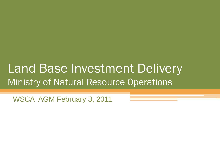# Land Base Investment Delivery Ministry of Natural Resource Operations

WSCA AGM February 3, 2011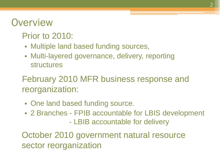### **Overview**

### Prior to 2010:

- Multiple land based funding sources,
- Multi-layered governance, delivery, reporting structures

February 2010 MFR business response and reorganization:

- One land based funding source.
- 2 Branches FPIB accountable for LBIS development - LBIB accountable for delivery

October 2010 government natural resource sector reorganization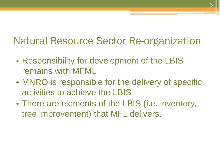## Natural Resource Sector Re-organization

- Responsibility for development of the LBIS remains with MFML
- MNRO is responsible for the delivery of specific activities to achieve the LBIS
- There are elements of the LBIS (i.e. inventory, tree improvement) that MFL delivers.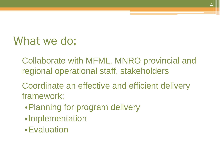# What we do:

- Collaborate with MFML, MNRO provincial and regional operational staff, stakeholders
- Coordinate an effective and efficient delivery framework:
	- •Planning for program delivery
	- •Implementation
	- •Evaluation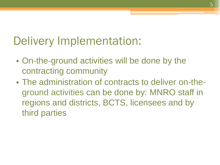# Delivery Implementation:

- On-the-ground activities will be done by the contracting community
- The administration of contracts to deliver on-theground activities can be done by: MNRO staff in regions and districts, BCTS, licensees and by third parties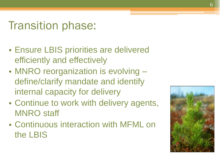# Transition phase:

- Ensure LBIS priorities are delivered efficiently and effectively
- MNRO reorganization is evolving define/clarify mandate and identify internal capacity for delivery
- Continue to work with delivery agents, MNRO staff
- Continuous interaction with MFML on the LBIS

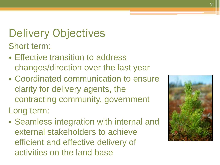Delivery Objectives Short term:

- Effective transition to address changes/direction over the last year
- Coordinated communication to ensure clarity for delivery agents, the contracting community, government Long term:
- Seamless integration with internal and external stakeholders to achieve efficient and effective delivery of activities on the land base